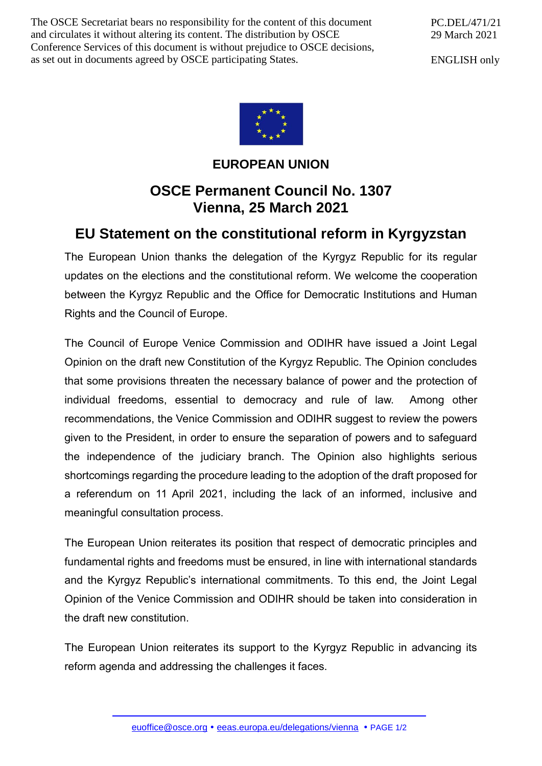The OSCE Secretariat bears no responsibility for the content of this document and circulates it without altering its content. The distribution by OSCE Conference Services of this document is without prejudice to OSCE decisions, as set out in documents agreed by OSCE participating States.

PC.DEL/471/21 29 March 2021

ENGLISH only



## **EUROPEAN UNION**

## **OSCE Permanent Council No. 1307 Vienna, 25 March 2021**

## **EU Statement on the constitutional reform in Kyrgyzstan**

The European Union thanks the delegation of the Kyrgyz Republic for its regular updates on the elections and the constitutional reform. We welcome the cooperation between the Kyrgyz Republic and the Office for Democratic Institutions and Human Rights and the Council of Europe.

The Council of Europe Venice Commission and ODIHR have issued a Joint Legal Opinion on the draft new Constitution of the Kyrgyz Republic. The Opinion concludes that some provisions threaten the necessary balance of power and the protection of individual freedoms, essential to democracy and rule of law. Among other recommendations, the Venice Commission and ODIHR suggest to review the powers given to the President, in order to ensure the separation of powers and to safeguard the independence of the judiciary branch. The Opinion also highlights serious shortcomings regarding the procedure leading to the adoption of the draft proposed for a referendum on 11 April 2021, including the lack of an informed, inclusive and meaningful consultation process.

The European Union reiterates its position that respect of democratic principles and fundamental rights and freedoms must be ensured, in line with international standards and the Kyrgyz Republic's international commitments. To this end, the Joint Legal Opinion of the Venice Commission and ODIHR should be taken into consideration in the draft new constitution.

The European Union reiterates its support to the Kyrgyz Republic in advancing its reform agenda and addressing the challenges it faces.